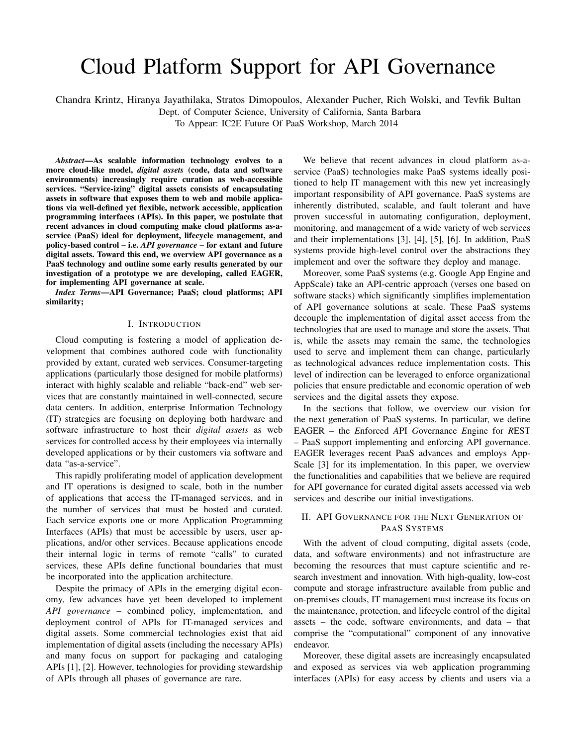# Cloud Platform Support for API Governance

Chandra Krintz, Hiranya Jayathilaka, Stratos Dimopoulos, Alexander Pucher, Rich Wolski, and Tevfik Bultan

Dept. of Computer Science, University of California, Santa Barbara

To Appear: IC2E Future Of PaaS Workshop, March 2014

*Abstract*—As scalable information technology evolves to a more cloud-like model, *digital assets* (code, data and software environments) increasingly require curation as web-accessible services. "Service-izing" digital assets consists of encapsulating assets in software that exposes them to web and mobile applications via well-defined yet flexible, network accessible, application programming interfaces (APIs). In this paper, we postulate that recent advances in cloud computing make cloud platforms as-aservice (PaaS) ideal for deployment, lifecycle management, and policy-based control – i.e. *API governance* – for extant and future digital assets. Toward this end, we overview API governance as a PaaS technology and outline some early results generated by our investigation of a prototype we are developing, called EAGER, for implementing API governance at scale.

*Index Terms*—API Governance; PaaS; cloud platforms; API similarity;

#### I. INTRODUCTION

Cloud computing is fostering a model of application development that combines authored code with functionality provided by extant, curated web services. Consumer-targeting applications (particularly those designed for mobile platforms) interact with highly scalable and reliable "back-end" web services that are constantly maintained in well-connected, secure data centers. In addition, enterprise Information Technology (IT) strategies are focusing on deploying both hardware and software infrastructure to host their *digital assets* as web services for controlled access by their employees via internally developed applications or by their customers via software and data "as-a-service".

This rapidly proliferating model of application development and IT operations is designed to scale, both in the number of applications that access the IT-managed services, and in the number of services that must be hosted and curated. Each service exports one or more Application Programming Interfaces (APIs) that must be accessible by users, user applications, and/or other services. Because applications encode their internal logic in terms of remote "calls" to curated services, these APIs define functional boundaries that must be incorporated into the application architecture.

Despite the primacy of APIs in the emerging digital economy, few advances have yet been developed to implement *API governance* – combined policy, implementation, and deployment control of APIs for IT-managed services and digital assets. Some commercial technologies exist that aid implementation of digital assets (including the necessary APIs) and many focus on support for packaging and cataloging APIs [1], [2]. However, technologies for providing stewardship of APIs through all phases of governance are rare.

We believe that recent advances in cloud platform as-aservice (PaaS) technologies make PaaS systems ideally positioned to help IT management with this new yet increasingly important responsibility of API governance. PaaS systems are inherently distributed, scalable, and fault tolerant and have proven successful in automating configuration, deployment, monitoring, and management of a wide variety of web services and their implementations [3], [4], [5], [6]. In addition, PaaS systems provide high-level control over the abstractions they implement and over the software they deploy and manage.

Moreover, some PaaS systems (e.g. Google App Engine and AppScale) take an API-centric approach (verses one based on software stacks) which significantly simplifies implementation of API governance solutions at scale. These PaaS systems decouple the implementation of digital asset access from the technologies that are used to manage and store the assets. That is, while the assets may remain the same, the technologies used to serve and implement them can change, particularly as technological advances reduce implementation costs. This level of indirection can be leveraged to enforce organizational policies that ensure predictable and economic operation of web services and the digital assets they expose.

In the sections that follow, we overview our vision for the next generation of PaaS systems. In particular, we define EAGER – the *E*nforced *A*PI *G*overnance *E*ngine for *R*EST – PaaS support implementing and enforcing API governance. EAGER leverages recent PaaS advances and employs App-Scale [3] for its implementation. In this paper, we overview the functionalities and capabilities that we believe are required for API governance for curated digital assets accessed via web services and describe our initial investigations.

# II. API GOVERNANCE FOR THE NEXT GENERATION OF PAAS SYSTEMS

With the advent of cloud computing, digital assets (code, data, and software environments) and not infrastructure are becoming the resources that must capture scientific and research investment and innovation. With high-quality, low-cost compute and storage infrastructure available from public and on-premises clouds, IT management must increase its focus on the maintenance, protection, and lifecycle control of the digital assets – the code, software environments, and data – that comprise the "computational" component of any innovative endeavor.

Moreover, these digital assets are increasingly encapsulated and exposed as services via web application programming interfaces (APIs) for easy access by clients and users via a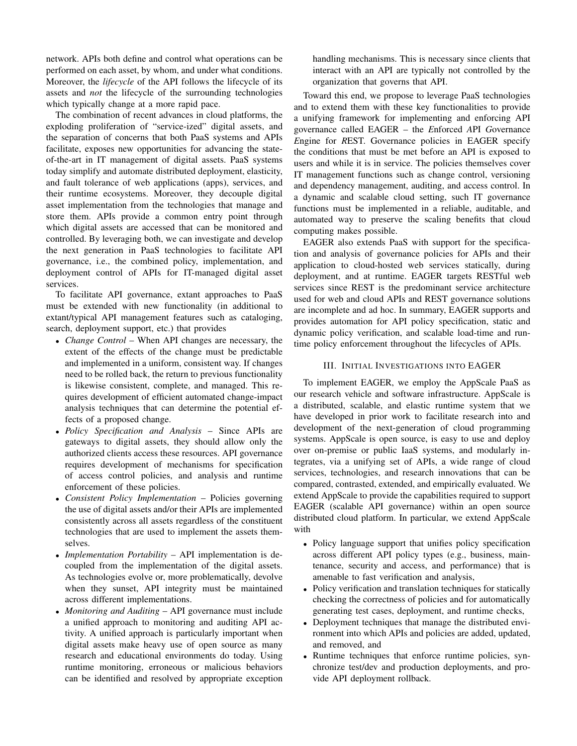network. APIs both define and control what operations can be performed on each asset, by whom, and under what conditions. Moreover, the *lifecycle* of the API follows the lifecycle of its assets and *not* the lifecycle of the surrounding technologies which typically change at a more rapid pace.

The combination of recent advances in cloud platforms, the exploding proliferation of "service-ized" digital assets, and the separation of concerns that both PaaS systems and APIs facilitate, exposes new opportunities for advancing the stateof-the-art in IT management of digital assets. PaaS systems today simplify and automate distributed deployment, elasticity, and fault tolerance of web applications (apps), services, and their runtime ecosystems. Moreover, they decouple digital asset implementation from the technologies that manage and store them. APIs provide a common entry point through which digital assets are accessed that can be monitored and controlled. By leveraging both, we can investigate and develop the next generation in PaaS technologies to facilitate API governance, i.e., the combined policy, implementation, and deployment control of APIs for IT-managed digital asset services.

To facilitate API governance, extant approaches to PaaS must be extended with new functionality (in additional to extant/typical API management features such as cataloging, search, deployment support, etc.) that provides

- *Change Control* When API changes are necessary, the extent of the effects of the change must be predictable and implemented in a uniform, consistent way. If changes need to be rolled back, the return to previous functionality is likewise consistent, complete, and managed. This requires development of efficient automated change-impact analysis techniques that can determine the potential effects of a proposed change.
- *Policy Specification and Analysis* Since APIs are gateways to digital assets, they should allow only the authorized clients access these resources. API governance requires development of mechanisms for specification of access control policies, and analysis and runtime enforcement of these policies.
- *Consistent Policy Implementation* Policies governing the use of digital assets and/or their APIs are implemented consistently across all assets regardless of the constituent technologies that are used to implement the assets themselves.
- *Implementation Portability* API implementation is decoupled from the implementation of the digital assets. As technologies evolve or, more problematically, devolve when they sunset, API integrity must be maintained across different implementations.
- *Monitoring and Auditing* API governance must include a unified approach to monitoring and auditing API activity. A unified approach is particularly important when digital assets make heavy use of open source as many research and educational environments do today. Using runtime monitoring, erroneous or malicious behaviors can be identified and resolved by appropriate exception

handling mechanisms. This is necessary since clients that interact with an API are typically not controlled by the organization that governs that API.

Toward this end, we propose to leverage PaaS technologies and to extend them with these key functionalities to provide a unifying framework for implementing and enforcing API governance called EAGER – the *E*nforced *A*PI *G*overnance *E*ngine for *R*EST. Governance policies in EAGER specify the conditions that must be met before an API is exposed to users and while it is in service. The policies themselves cover IT management functions such as change control, versioning and dependency management, auditing, and access control. In a dynamic and scalable cloud setting, such IT governance functions must be implemented in a reliable, auditable, and automated way to preserve the scaling benefits that cloud computing makes possible.

EAGER also extends PaaS with support for the specification and analysis of governance policies for APIs and their application to cloud-hosted web services statically, during deployment, and at runtime. EAGER targets RESTful web services since REST is the predominant service architecture used for web and cloud APIs and REST governance solutions are incomplete and ad hoc. In summary, EAGER supports and provides automation for API policy specification, static and dynamic policy verification, and scalable load-time and runtime policy enforcement throughout the lifecycles of APIs.

## III. INITIAL INVESTIGATIONS INTO EAGER

To implement EAGER, we employ the AppScale PaaS as our research vehicle and software infrastructure. AppScale is a distributed, scalable, and elastic runtime system that we have developed in prior work to facilitate research into and development of the next-generation of cloud programming systems. AppScale is open source, is easy to use and deploy over on-premise or public IaaS systems, and modularly integrates, via a unifying set of APIs, a wide range of cloud services, technologies, and research innovations that can be compared, contrasted, extended, and empirically evaluated. We extend AppScale to provide the capabilities required to support EAGER (scalable API governance) within an open source distributed cloud platform. In particular, we extend AppScale with

- Policy language support that unifies policy specification across different API policy types (e.g., business, maintenance, security and access, and performance) that is amenable to fast verification and analysis,
- Policy verification and translation techniques for statically checking the correctness of policies and for automatically generating test cases, deployment, and runtime checks,
- Deployment techniques that manage the distributed environment into which APIs and policies are added, updated, and removed, and
- Runtime techniques that enforce runtime policies, synchronize test/dev and production deployments, and provide API deployment rollback.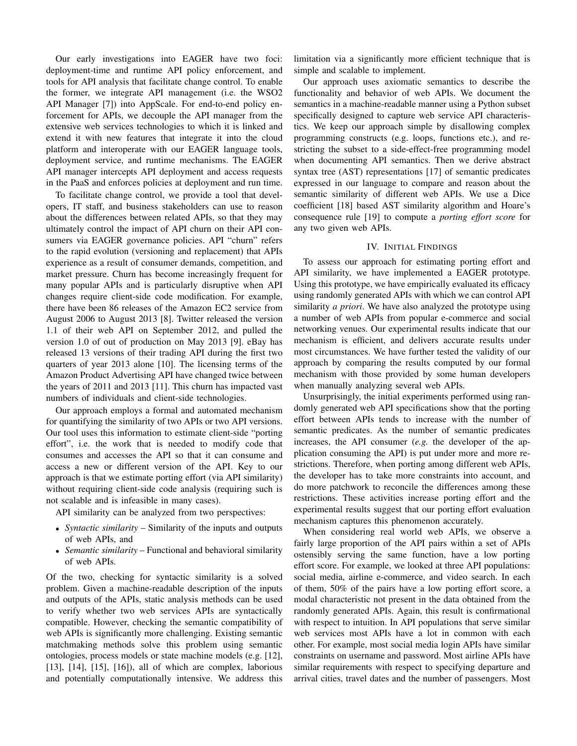Our early investigations into EAGER have two foci: deployment-time and runtime API policy enforcement, and tools for API analysis that facilitate change control. To enable the former, we integrate API management (i.e. the WSO2 API Manager [7]) into AppScale. For end-to-end policy enforcement for APIs, we decouple the API manager from the extensive web services technologies to which it is linked and extend it with new features that integrate it into the cloud platform and interoperate with our EAGER language tools, deployment service, and runtime mechanisms. The EAGER API manager intercepts API deployment and access requests in the PaaS and enforces policies at deployment and run time.

To facilitate change control, we provide a tool that developers, IT staff, and business stakeholders can use to reason about the differences between related APIs, so that they may ultimately control the impact of API churn on their API consumers via EAGER governance policies. API "churn" refers to the rapid evolution (versioning and replacement) that APIs experience as a result of consumer demands, competition, and market pressure. Churn has become increasingly frequent for many popular APIs and is particularly disruptive when API changes require client-side code modification. For example, there have been 86 releases of the Amazon EC2 service from August 2006 to August 2013 [8]. Twitter released the version 1.1 of their web API on September 2012, and pulled the version 1.0 of out of production on May 2013 [9]. eBay has released 13 versions of their trading API during the first two quarters of year 2013 alone [10]. The licensing terms of the Amazon Product Advertising API have changed twice between the years of 2011 and 2013 [11]. This churn has impacted vast numbers of individuals and client-side technologies.

Our approach employs a formal and automated mechanism for quantifying the similarity of two APIs or two API versions. Our tool uses this information to estimate client-side "porting effort", i.e. the work that is needed to modify code that consumes and accesses the API so that it can consume and access a new or different version of the API. Key to our approach is that we estimate porting effort (via API similarity) without requiring client-side code analysis (requiring such is not scalable and is infeasible in many cases).

API similarity can be analyzed from two perspectives:

- *Syntactic similarity* Similarity of the inputs and outputs of web APIs, and
- *Semantic similarity* Functional and behavioral similarity of web APIs.

Of the two, checking for syntactic similarity is a solved problem. Given a machine-readable description of the inputs and outputs of the APIs, static analysis methods can be used to verify whether two web services APIs are syntactically compatible. However, checking the semantic compatibility of web APIs is significantly more challenging. Existing semantic matchmaking methods solve this problem using semantic ontologies, process models or state machine models (e.g. [12], [13], [14], [15], [16]), all of which are complex, laborious and potentially computationally intensive. We address this limitation via a significantly more efficient technique that is simple and scalable to implement.

Our approach uses axiomatic semantics to describe the functionality and behavior of web APIs. We document the semantics in a machine-readable manner using a Python subset specifically designed to capture web service API characteristics. We keep our approach simple by disallowing complex programming constructs (e.g. loops, functions etc.), and restricting the subset to a side-effect-free programming model when documenting API semantics. Then we derive abstract syntax tree (AST) representations [17] of semantic predicates expressed in our language to compare and reason about the semantic similarity of different web APIs. We use a Dice coefficient [18] based AST similarity algorithm and Hoare's consequence rule [19] to compute a *porting effort score* for any two given web APIs.

### IV. INITIAL FINDINGS

To assess our approach for estimating porting effort and API similarity, we have implemented a EAGER prototype. Using this prototype, we have empirically evaluated its efficacy using randomly generated APIs with which we can control API similarity *a priori*. We have also analyzed the prototype using a number of web APIs from popular e-commerce and social networking venues. Our experimental results indicate that our mechanism is efficient, and delivers accurate results under most circumstances. We have further tested the validity of our approach by comparing the results computed by our formal mechanism with those provided by some human developers when manually analyzing several web APIs.

Unsurprisingly, the initial experiments performed using randomly generated web API specifications show that the porting effort between APIs tends to increase with the number of semantic predicates. As the number of semantic predicates increases, the API consumer (*e.g.* the developer of the application consuming the API) is put under more and more restrictions. Therefore, when porting among different web APIs, the developer has to take more constraints into account, and do more patchwork to reconcile the differences among these restrictions. These activities increase porting effort and the experimental results suggest that our porting effort evaluation mechanism captures this phenomenon accurately.

When considering real world web APIs, we observe a fairly large proportion of the API pairs within a set of APIs ostensibly serving the same function, have a low porting effort score. For example, we looked at three API populations: social media, airline e-commerce, and video search. In each of them, 50% of the pairs have a low porting effort score, a modal characteristic not present in the data obtained from the randomly generated APIs. Again, this result is confirmational with respect to intuition. In API populations that serve similar web services most APIs have a lot in common with each other. For example, most social media login APIs have similar constraints on username and password. Most airline APIs have similar requirements with respect to specifying departure and arrival cities, travel dates and the number of passengers. Most